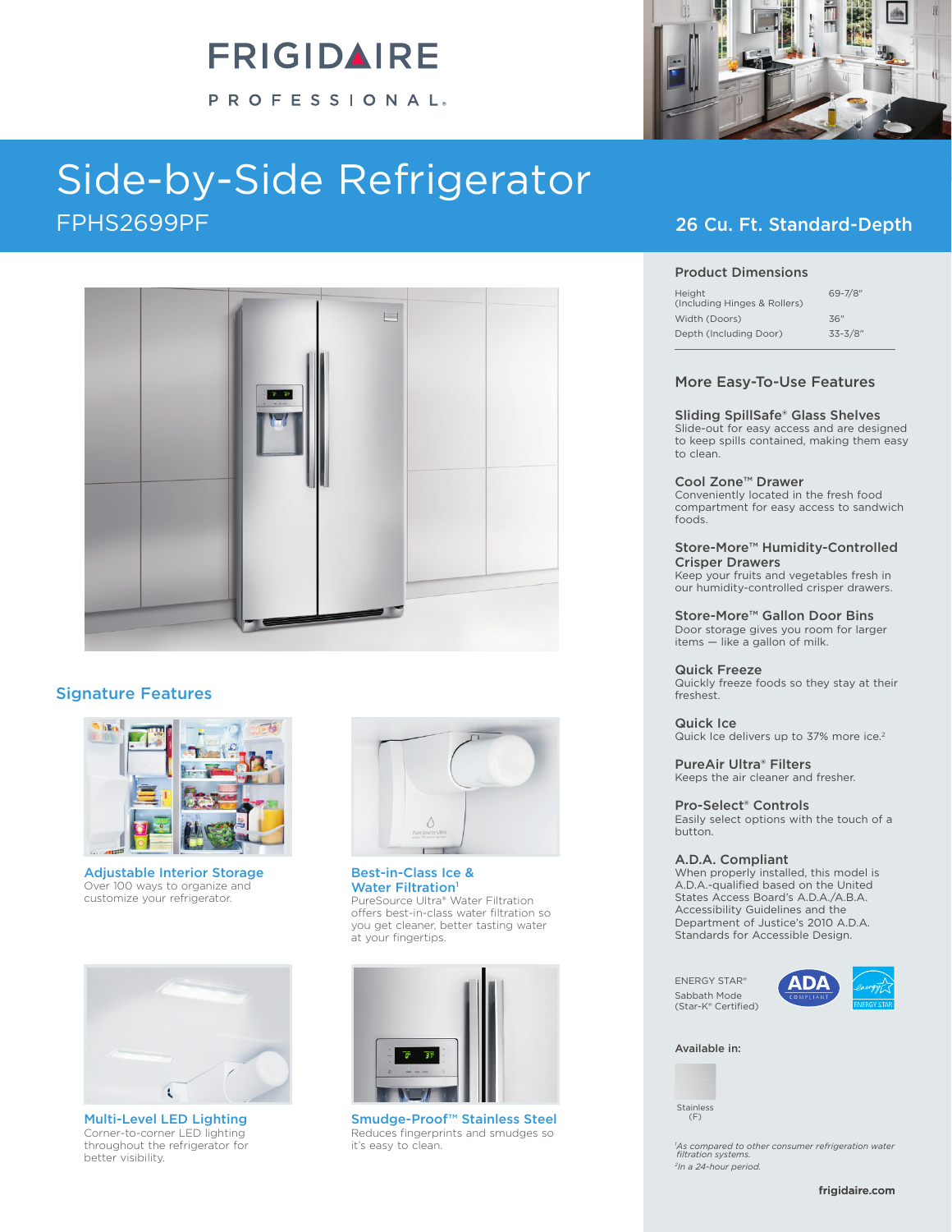# **FRIGIDAIRE**

PROFESSIONAL®

# Side-by-Side Refrigerator FPHS2699PF 26 Cu. Ft. Standard-Depth



### Signature Features



Adjustable Interior Storage Over 100 ways to organize and customize your refrigerator.



Corner-to-corner LED lighting throughout the refrigerator for better visibility.



Best-in-Class Ice & Water Filtration<sup>1</sup> PureSource Ultra® Water Filtration offers best-in-class water filtration so you get cleaner, better tasting water at your fingertips.



Multi-Level LED Lighting (F) Smudge-Proof™ Stainless Steel Reduces fingerprints and smudges so it's easy to clean.



#### Product Dimensions

| Height<br>(Including Hinges & Rollers) | $69 - 7/8$ " |
|----------------------------------------|--------------|
| Width (Doors)                          | 36"          |
| Depth (Including Door)                 | $33 - 3/8"$  |

#### More Easy-To-Use Features

#### Sliding SpillSafe® Glass Shelves

Slide-out for easy access and are designed to keep spills contained, making them easy to clean.

#### Cool Zone™ Drawer

Conveniently located in the fresh food compartment for easy access to sandwich foods.

#### Store-More™ Humidity-Controlled Crisper Drawers

Keep your fruits and vegetables fresh in our humidity-controlled crisper drawers.

#### Store-More™ Gallon Door Bins

Door storage gives you room for larger items — like a gallon of milk.

#### Quick Freeze

Quickly freeze foods so they stay at their freshest.

Quick Ice Quick Ice delivers up to 37% more ice.<sup>2</sup>

PureAir Ultra® Filters Keeps the air cleaner and fresher.

#### Pro-Select® Controls

Easily select options with the touch of a button.

#### A.D.A. Compliant

When properly installed, this model is A.D.A.-qualified based on the United States Access Board's A.D.A./A.B.A. Accessibility Guidelines and the Department of Justice's 2010 A.D.A. Standards for Accessible Design.

ENERGY STAR® Sabbath Mode (Star-K® Certified)



Available in:

Stainless<br>(F)

*1 As compared to other consumer refrigeration water filtration systems. 2In a 24-hour period.*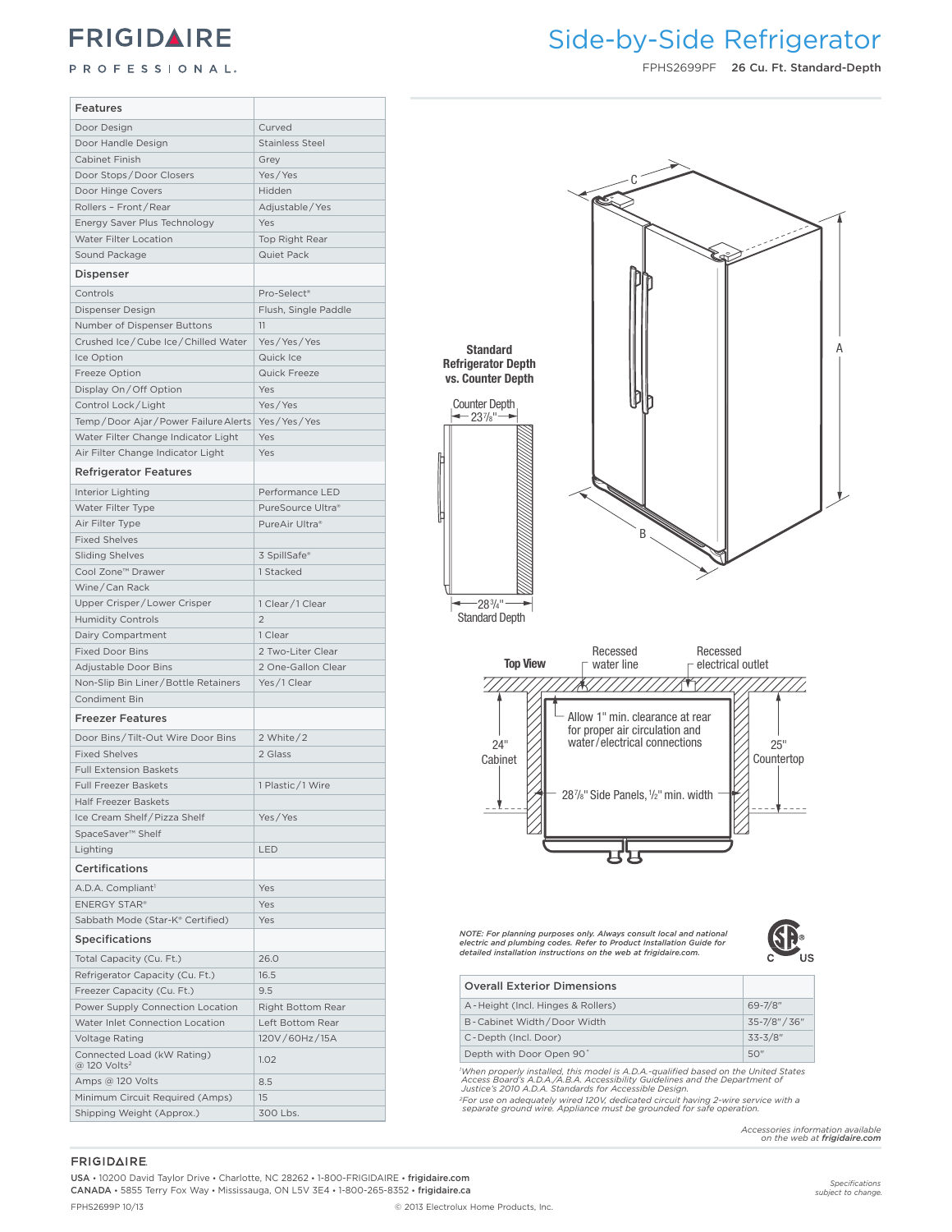### **FRIGIDAIRE**

#### PROFESSIONAL.

### Side-by-Side Refrigerator **Frigidaire Professional**

FPHS2699PF 26 Cu. Ft. Standard-Depth

| Features                                        |                                     |                                                                                                                                                                                                                                          |
|-------------------------------------------------|-------------------------------------|------------------------------------------------------------------------------------------------------------------------------------------------------------------------------------------------------------------------------------------|
| Door Design                                     | Curved                              |                                                                                                                                                                                                                                          |
| Door Handle Design                              | <b>Stainless Steel</b>              |                                                                                                                                                                                                                                          |
| Cabinet Finish                                  | Grey                                |                                                                                                                                                                                                                                          |
| Door Stops/Door Closers                         | Yes/Yes                             |                                                                                                                                                                                                                                          |
| Door Hinge Covers                               | Hidden                              |                                                                                                                                                                                                                                          |
| Rollers - Front/Rear                            | Adjustable/Yes                      |                                                                                                                                                                                                                                          |
| Energy Saver Plus Technology                    | Yes                                 |                                                                                                                                                                                                                                          |
| Water Filter Location                           | Top Right Rear                      |                                                                                                                                                                                                                                          |
| Sound Package                                   | Quiet Pack                          |                                                                                                                                                                                                                                          |
| Dispenser                                       |                                     |                                                                                                                                                                                                                                          |
|                                                 |                                     |                                                                                                                                                                                                                                          |
| Controls                                        | Pro-Select <sup>®</sup>             |                                                                                                                                                                                                                                          |
| Dispenser Design                                | Flush, Single Paddle                |                                                                                                                                                                                                                                          |
| Number of Dispenser Buttons                     | 11                                  |                                                                                                                                                                                                                                          |
| Crushed Ice/Cube Ice/Chilled Water              | Yes/Yes/Yes                         | <b>Standard</b>                                                                                                                                                                                                                          |
| Ice Option                                      | Quick Ice                           | <b>Refrigerator Depth</b>                                                                                                                                                                                                                |
| Freeze Option                                   | Quick Freeze                        | vs. Counter Depth                                                                                                                                                                                                                        |
| Display On/Off Option                           | Yes                                 |                                                                                                                                                                                                                                          |
| Control Lock/Light                              | Yes/Yes                             | <b>Counter Depth</b>                                                                                                                                                                                                                     |
| Temp/Door Ajar/Power Failure Alerts Yes/Yes/Yes |                                     | $-23\%$ "                                                                                                                                                                                                                                |
| Water Filter Change Indicator Light             | Yes                                 |                                                                                                                                                                                                                                          |
| Air Filter Change Indicator Light               | Yes                                 |                                                                                                                                                                                                                                          |
| <b>Refrigerator Features</b>                    |                                     |                                                                                                                                                                                                                                          |
| Interior Lighting                               | Performance LED                     |                                                                                                                                                                                                                                          |
| Water Filter Type                               | PureSource Ultra®                   |                                                                                                                                                                                                                                          |
|                                                 | PureAir Ultra <sup>®</sup>          |                                                                                                                                                                                                                                          |
| Air Filter Type<br><b>Fixed Shelves</b>         |                                     | B                                                                                                                                                                                                                                        |
|                                                 |                                     |                                                                                                                                                                                                                                          |
| <b>Sliding Shelves</b>                          | 3 SpillSafe®                        |                                                                                                                                                                                                                                          |
| Cool Zone™ Drawer                               | 1 Stacked                           |                                                                                                                                                                                                                                          |
| Wine/Can Rack                                   |                                     |                                                                                                                                                                                                                                          |
| Upper Crisper/Lower Crisper                     | 1 Clear / 1 Clear<br>$\overline{2}$ | $-28^{3}/4$ <sup>11</sup><br><b>Standard Depth</b>                                                                                                                                                                                       |
| <b>Humidity Controls</b>                        |                                     |                                                                                                                                                                                                                                          |
| Dairy Compartment                               | 1 Clear                             |                                                                                                                                                                                                                                          |
| Fixed Door Bins                                 | 2 Two-Liter Clear                   | Recessed<br>Recessed<br><b>Top View</b><br>electrical outlet<br>water line                                                                                                                                                               |
| Adjustable Door Bins                            | 2 One-Gallon Clear                  |                                                                                                                                                                                                                                          |
| Non-Slip Bin Liner / Bottle Retainers           | Yes/1 Clear                         |                                                                                                                                                                                                                                          |
| Condiment Bin                                   |                                     |                                                                                                                                                                                                                                          |
| <b>Freezer Features</b>                         |                                     | Allow 1" min. clearance at rear                                                                                                                                                                                                          |
| Door Bins/Tilt-Out Wire Door Bins               | 2 White $/2$                        | for proper air circulation and<br>water/electrical connections                                                                                                                                                                           |
| <b>Fixed Shelves</b>                            | 2 Glass                             | 24"<br>25"<br>Cabinet<br>Countertop                                                                                                                                                                                                      |
| <b>Full Extension Baskets</b>                   |                                     |                                                                                                                                                                                                                                          |
| <b>Full Freezer Baskets</b>                     | 1 Plastic/1 Wire                    |                                                                                                                                                                                                                                          |
| <b>Half Freezer Baskets</b>                     |                                     | 28%" Side Panels, 1/2" min. width                                                                                                                                                                                                        |
| Ice Cream Shelf / Pizza Shelf                   | Yes/Yes                             |                                                                                                                                                                                                                                          |
| SpaceSaver <sup>™</sup> Shelf                   |                                     |                                                                                                                                                                                                                                          |
| Lighting                                        | LED                                 |                                                                                                                                                                                                                                          |
| Certifications                                  |                                     |                                                                                                                                                                                                                                          |
|                                                 |                                     |                                                                                                                                                                                                                                          |
| A.D.A. Compliant <sup>1</sup>                   | Yes                                 |                                                                                                                                                                                                                                          |
| <b>ENERGY STAR®</b>                             | Yes                                 |                                                                                                                                                                                                                                          |
| Sabbath Mode (Star-K® Certified)                | Yes                                 |                                                                                                                                                                                                                                          |
| <b>Specifications</b>                           |                                     | NOTE: For planning purposes only. Always consult local and national<br>electric and plumbing codes. Refer to Product Installation Guide for                                                                                              |
| Total Capacity (Cu. Ft.)                        | 26.0                                | detailed installation instructions on the web at frigidaire.com.                                                                                                                                                                         |
| Refrigerator Capacity (Cu. Ft.)                 | 16.5                                |                                                                                                                                                                                                                                          |
| Freezer Capacity (Cu. Ft.)                      | 9.5                                 | <b>Overall Exterior Dimensions</b>                                                                                                                                                                                                       |
| Power Supply Connection Location                | Right Bottom Rear                   | 69-7/8"<br>A-Height (Incl. Hinges & Rollers)                                                                                                                                                                                             |
| Water Inlet Connection Location                 | Left Bottom Rear                    | 35-7/8" / 36"<br>B-Cabinet Width/Door Width                                                                                                                                                                                              |
| <b>Voltage Rating</b>                           | 120V/60Hz/15A                       | $33 - 3/8"$<br>C-Depth (Incl. Door)                                                                                                                                                                                                      |
| Connected Load (kW Rating)                      |                                     | 50"<br>Depth with Door Open 90°                                                                                                                                                                                                          |
| @ 120 Volts <sup>2</sup>                        | 1.02                                |                                                                                                                                                                                                                                          |
| Amps @ 120 Volts                                | 8.5                                 | <sup>1</sup> When properly installed, this model is A.D.A.-qualified based on the United States<br>Access Board's A.D.A./A.B.A. Accessibility Guidelines and the Department of<br>Justice's 2010 A.D.A. Standards for Accessible Design. |
|                                                 |                                     |                                                                                                                                                                                                                                          |
| Minimum Circuit Required (Amps)                 | 15                                  | <sup>2</sup> For use on adequately wired 120V, dedicated circuit having 2-wire service with a                                                                                                                                            |

**FRIGIDAIRE** 

USA • 10200 David Taylor Drive • Charlotte, NC 28262 • 1-800-FRIGIDAIRE • frigidaire.com CANADA • 5855 Terry Fox Way • Mississauga, ON L5V 3E4 • 1-800-265-8352 • frigidaire.ca FPHS2699P 10/13 © 2013 Electrolux Home Products, Inc.

*Specifications subject to change.*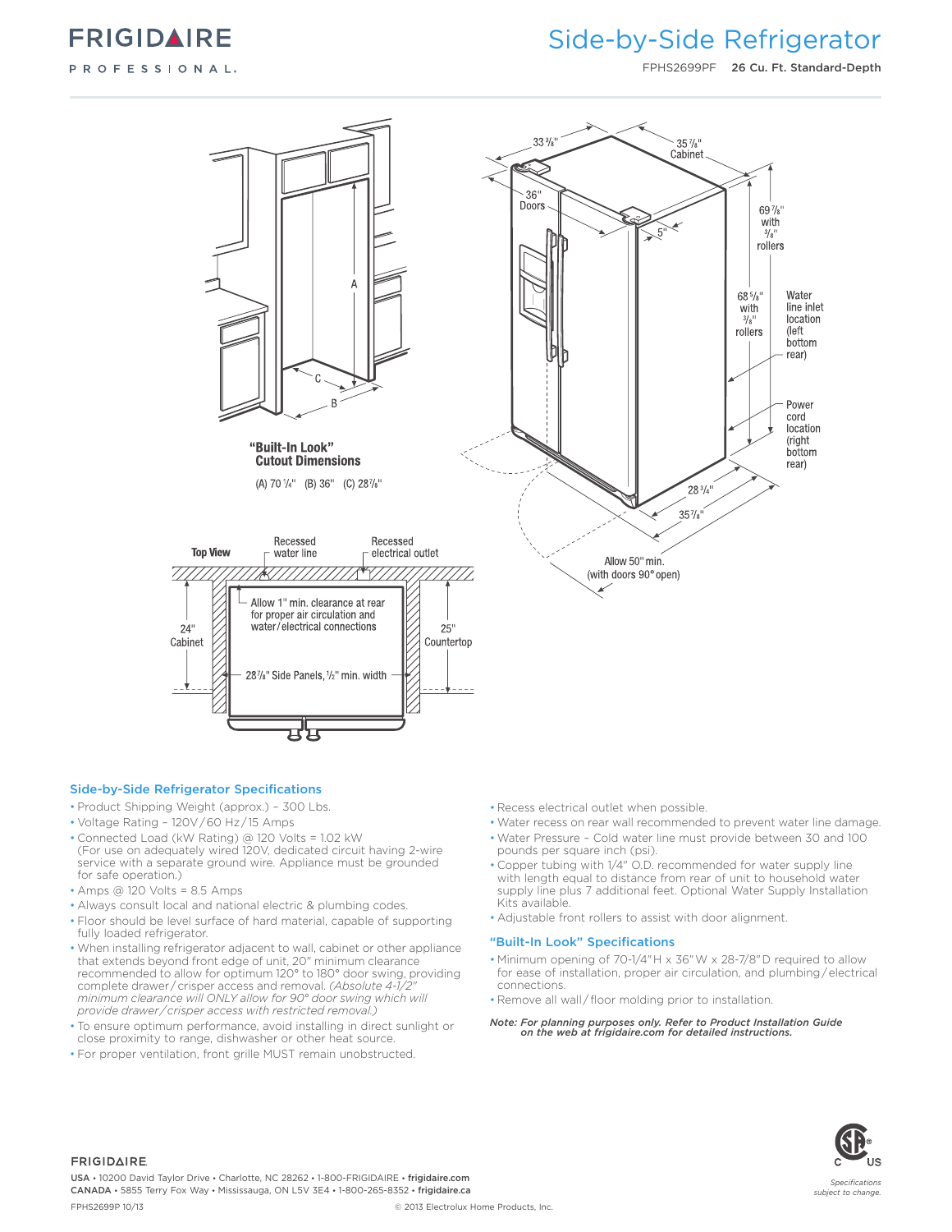

### Side-by-Side Refrigerator

FPHS2699PF 26 Cu. Ft. Standard-Depth



#### Side-by-Side Refrigerator Specifications

- Product Shipping Weight (approx.) 300 Lbs.
- Voltage Rating 120V / 60 Hz / 15 Amps
- Connected Load (kW Rating) @ 120 Volts = 1.02 kW (For use on adequately wired 120V, dedicated circuit having 2-wire service with a separate ground wire. Appliance must be grounded for safe operation.)
- Amps @ 120 Volts = 8.5 Amps
- Always consult local and national electric & plumbing codes.
- Floor should be level surface of hard material, capable of supporting fully loaded refrigerator.
- When installing refrigerator adjacent to wall, cabinet or other appliance that extends beyond front edge of unit, 20" minimum clearance recommended to allow for optimum 120° to 180° door swing, providing complete drawer / crisper access and removal. *(Absolute 4-1/2" minimum clearance will ONLY allow for 90° door swing which will provide drawer / crisper access with restricted removal.)*
- To ensure optimum performance, avoid installing in direct sunlight or close proximity to range, dishwasher or other heat source.
- For proper ventilation, front grille MUST remain unobstructed.
- Recess electrical outlet when possible.
- Water recess on rear wall recommended to prevent water line damage.
- Water Pressure Cold water line must provide between 30 and 100 pounds per square inch (psi).
- Copper tubing with 1/4" O.D. recommended for water supply line with length equal to distance from rear of unit to household water supply line plus 7 additional feet. Optional Water Supply Installation Kits available.
- Adjustable front rollers to assist with door alignment.

#### "Built-In Look" Specifications

• Minimum opening of 70-1/4" H x 36" W x 28-7/8" D required to allow for ease of installation, proper air circulation, and plumbing / electrical connections.

• Remove all wall / floor molding prior to installation.

*Note: For planning purposes only. Refer to Product Installation Guide on the web at frigidaire.com for detailed instructions.*



#### **FRIGIDAIRE**

USA • 10200 David Taylor Drive • Charlotte, NC 28262 • 1-800-FRIGIDAIRE • frigidaire.com CANADA • 5855 Terry Fox Way • Mississauga, ON L5V 3E4 • 1-800-265-8352 • frigidaire.ca